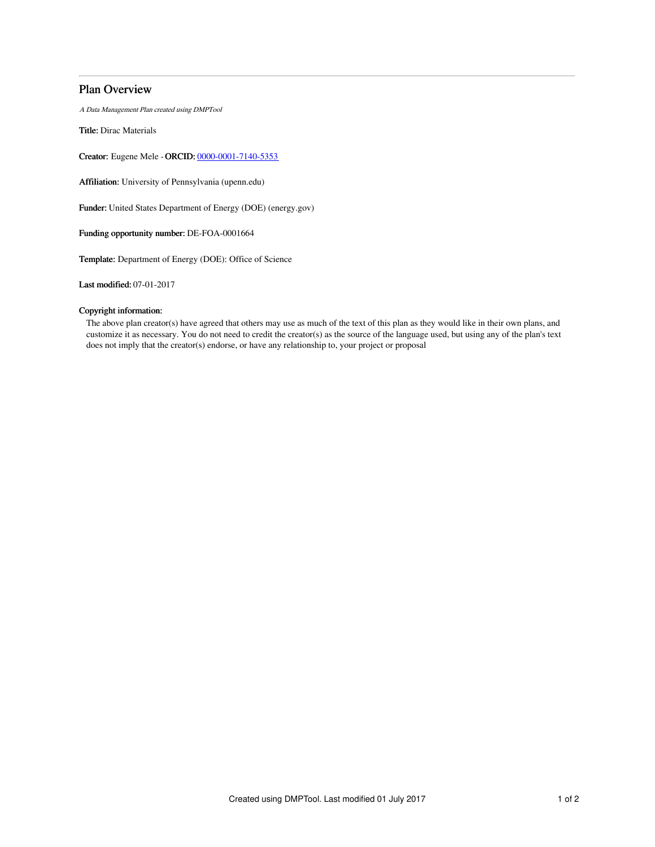## Plan Overview

A Data Management Plan created using DMPTool

Title: Dirac Materials

Creator: Eugene Mele -ORCID: [0000-0001-7140-5353](https://orcid.org/0000-0001-7140-5353)

Affiliation: University of Pennsylvania (upenn.edu)

Funder: United States Department of Energy (DOE) (energy.gov)

Funding opportunity number: DE-FOA-0001664

Template: Department of Energy (DOE): Office of Science

Last modified: 07-01-2017

### Copyright information:

The above plan creator(s) have agreed that others may use as much of the text of this plan as they would like in their own plans, and customize it as necessary. You do not need to credit the creator(s) as the source of the language used, but using any of the plan's text does not imply that the creator(s) endorse, or have any relationship to, your project or proposal